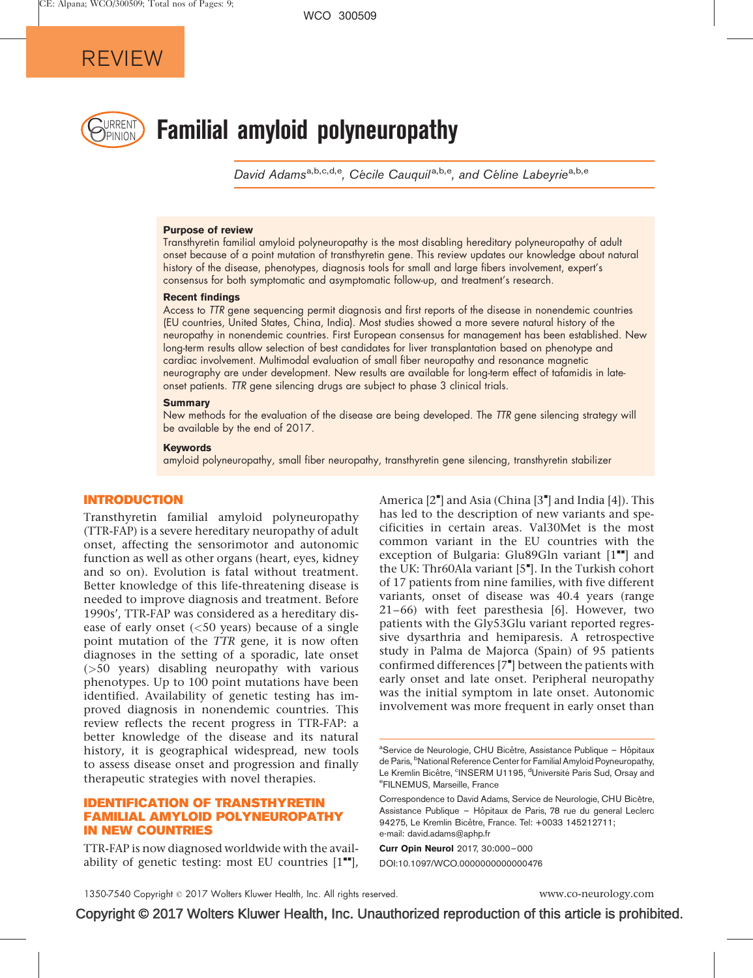

# **EXRENT** Familial amyloid polyneuropathy

David Adams<sup>a,b,c,d,e</sup>, Cécile Cauquil<sup>a,b,e</sup>, and Céline Labeyrie<sup>a,b,e</sup>

#### Purpose of review

Transthyretin familial amyloid polyneuropathy is the most disabling hereditary polyneuropathy of adult onset because of a point mutation of transthyretin gene. This review updates our knowledge about natural history of the disease, phenotypes, diagnosis tools for small and large fibers involvement, expert's consensus for both symptomatic and asymptomatic follow-up, and treatment's research.

#### Recent findings

Access to TTR gene sequencing permit diagnosis and first reports of the disease in nonendemic countries (EU countries, United States, China, India). Most studies showed a more severe natural history of the neuropathy in nonendemic countries. First European consensus for management has been established. New long-term results allow selection of best candidates for liver transplantation based on phenotype and cardiac involvement. Multimodal evaluation of small fiber neuropathy and resonance magnetic neurography are under development. New results are available for long-term effect of tafamidis in lateonset patients. TTR gene silencing drugs are subject to phase 3 clinical trials.

#### Summary

New methods for the evaluation of the disease are being developed. The TTR gene silencing strategy will be available by the end of 2017.

#### Keywords

amyloid polyneuropathy, small fiber neuropathy, transthyretin gene silencing, transthyretin stabilizer

## INTRODUCTION

Transthyretin familial amyloid polyneuropathy (TTR-FAP) is a severe hereditary neuropathy of adult onset, affecting the sensorimotor and autonomic function as well as other organs (heart, eyes, kidney and so on). Evolution is fatal without treatment. Better knowledge of this life-threatening disease is needed to improve diagnosis and treatment. Before 1990s', TTR-FAP was considered as a hereditary disease of early onset  $(<50$  years) because of a single point mutation of the TTR gene, it is now often diagnoses in the setting of a sporadic, late onset (>50 years) disabling neuropathy with various phenotypes. Up to 100 point mutations have been identified. Availability of genetic testing has improved diagnosis in nonendemic countries. This review reflects the recent progress in TTR-FAP: a better knowledge of the disease and its natural history, it is geographical widespread, new tools to assess disease onset and progression and finally therapeutic strategies with novel therapies.

## IDENTIFICATION OF TRANSTHYRETIN FAMILIAL AMYLOID POLYNEUROPATHY IN NEW COUNTRIES

TTR-FAP is now diagnosed worldwide with the availability of genetic testing: most EU countries  $[1<sup>••</sup>]$  $[1<sup>••</sup>]$  $[1<sup>••</sup>]$ ,

America [\[2](#page-7-0)"[\]](#page-7-0) and Asia (China [\[3](#page-7-0)"] and India [\[4\]\)](#page-7-0). This has led to the description of new variants and specificities in certain areas. Val30Met is the most common variant in the EU countries with the exception of Bulgaria: Glu89Gln variant  $[1"']$  $[1"']$  $[1"']$  and the UK: Thr60Ala variant [\[5](#page-7-0)"[\].](#page-7-0) In the Turkish cohort of 17 patients from nine families, with five different variants, onset of disease was 40.4 years (range 21–66) with feet paresthesia [\[6\]](#page-7-0). However, two patients with the Gly53Glu variant reported regressive dysarthria and hemiparesis. A retrospective study in Palma de Majorca (Spain) of 95 patients confirmed differences [\[7](#page-7-0)"[\]](#page-7-0) between the patients with early onset and late onset. Peripheral neuropathy was the initial symptom in late onset. Autonomic involvement was more frequent in early onset than

Curr Opin Neurol 2017, 30:000–000 DOI:10.1097/WCO.0000000000000476

aService de Neurologie, CHU Bicêtre, Assistance Publique - Hôpitaux de Paris, <sup>b</sup>National Reference Center for Familial Amyloid Poyneuropathy, Le Kremlin Bicêtre, <sup>c</sup>INSERM U1195, <sup>d</sup>Université Paris Sud, Orsay and<br><sup>e</sup>EILNEMUS, Marseille, France FILNEMUS, Marseille, France

Correspondence to David Adams, Service de Neurologie, CHU Bicêtre, Assistance Publique - Hôpitaux de Paris, 78 rue du general Leclerc 94275, Le Kremlin Bicêtre, France, Tel: +0033 145212711; e-mail: [david.adams@aphp.fr](mailto:david.adams@aphp.fr)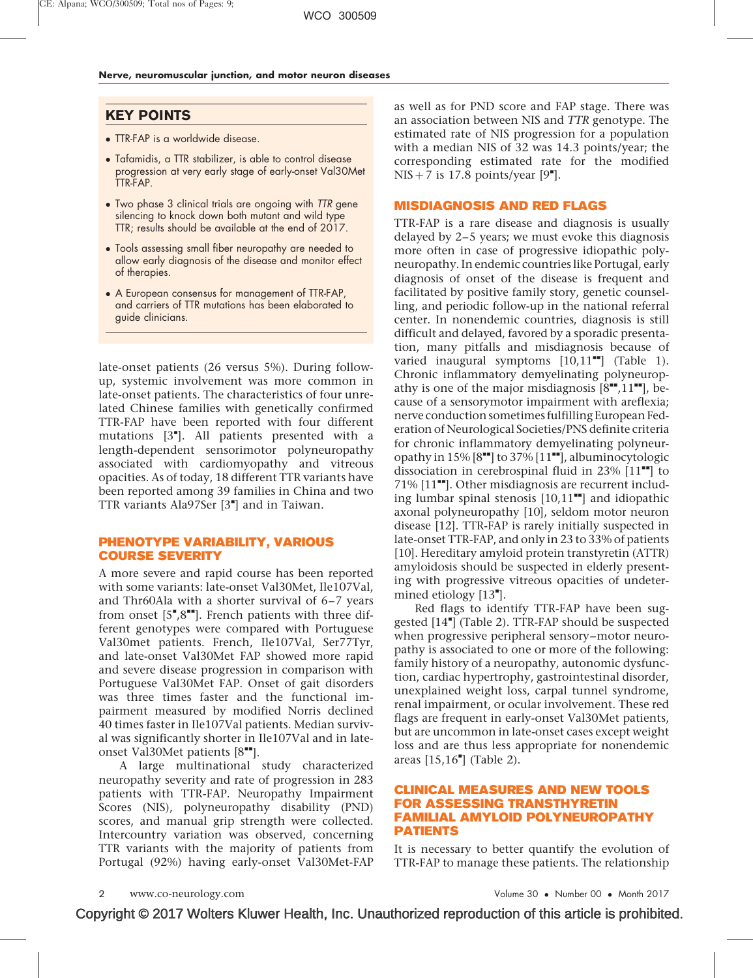# KEY POINTS

- TTR-FAP is a worldwide disease.
- Tafamidis, a TTR stabilizer, is able to control disease progression at very early stage of early-onset Val30Met TTR-FAP.
- Two phase 3 clinical trials are ongoing with TTR gene silencing to knock down both mutant and wild type TTR; results should be available at the end of 2017.
- Tools assessing small fiber neuropathy are needed to allow early diagnosis of the disease and monitor effect of therapies.
- A European consensus for management of TTR-FAP, and carriers of TTR mutations has been elaborated to guide clinicians.

late-onset patients (26 versus 5%). During followup, systemic involvement was more common in late-onset patients. The characteristics of four unrelated Chinese families with genetically confirmed TTR-FAP have been reported with four different mutations [\[3](#page-7-0)"[\]](#page-7-0). All patients presented with a length-dependent sensorimotor polyneuropathy associated with cardiomyopathy and vitreous opacities. As of today, 18 different TTR variants have been reported among 39 families in China and two TTR variants Ala97Ser [\[3](#page-7-0)"[\]](#page-7-0) and in Taiwan.

## PHENOTYPE VARIABILITY, VARIOUS COURSE SEVERITY

A more severe and rapid course has been reported with some variants: late-onset Val30Met, Ile107Val, and Thr60Ala with a shorter survival of 6–7 years from onset  $[5^{\bullet}, 8^{\bullet \bullet}]$  $[5^{\bullet}, 8^{\bullet \bullet}]$ . French patients with three different genotypes were compared with Portuguese Val30met patients. French, Ile107Val, Ser77Tyr, and late-onset Val30Met FAP showed more rapid and severe disease progression in comparison with Portuguese Val30Met FAP. Onset of gait disorders was three times faster and the functional impairment measured by modified Norris declined 40 times faster in Ile107Val patients. Median survival was significantly shorter in Ile107Val and in lateonset Val30Met patients  $[8^{\bullet\bullet}].$  $[8^{\bullet\bullet}].$  $[8^{\bullet\bullet}].$  $[8^{\bullet\bullet}].$ 

A large multinational study characterized neuropathy severity and rate of progression in 283 patients with TTR-FAP. Neuropathy Impairment Scores (NIS), polyneuropathy disability (PND) scores, and manual grip strength were collected. Intercountry variation was observed, concerning TTR variants with the majority of patients from Portugal (92%) having early-onset Val30Met-FAP

as well as for PND score and FAP stage. There was an association between NIS and TTR genotype. The estimated rate of NIS progression for a population with a median NIS of 32 was 14.3 points/year; the corresponding estimated rate for the modified  $NIS + 7$  is 17.8 points/year [\[9](#page-7-0) $"$ [\]](#page-7-0).

## MISDIAGNOSIS AND RED FLAGS

TTR-FAP is a rare disease and diagnosis is usually delayed by 2–5 years; we must evoke this diagnosis more often in case of progressive idiopathic polyneuropathy. In endemic countries like Portugal, early diagnosis of onset of the disease is frequent and facilitated by positive family story, genetic counselling, and periodic follow-up in the national referral center. In nonendemic countries, diagnosis is still difficult and delayed, favored by a sporadic presentation, many pitfalls and misdiagnosis because of varied inaugural symptoms  $[10,11$ <sup>---</sup>[\]](#page-7-0) (Table 1). Chronic inflammatory demyelinating polyneuropathy is one of the major misdiagnosis  $[8\text{--}11\text{--}$  $[8\text{--}11\text{--}$ , because of a sensorymotor impairment with areflexia; nerve conduction sometimes fulfilling European Federation of Neurological Societies/PNS definite criteria for chronic inflammatory demyelinating polyneuropathy in  $15\%$  [\[8](#page-7-0) $\bullet$ [\]](#page-7-0) to 37% [\[11](#page-7-0) $\bullet$ ], albuminocytologic dissociation in cerebrospinal fluid in 23%  $[11$ <sup> $H$ </sup> to  $71\%$  [\[11](#page-7-0) $"$ [\].](#page-7-0) Other misdiagnosis are recurrent including lumbar spinal stenosis  $[10,11$ <sup> $\bullet$ </sup>[\]](#page-7-0) and idiopathic axonal polyneuropathy [\[10\]](#page-7-0), seldom motor neuron disease [\[12\]](#page-7-0). TTR-FAP is rarely initially suspected in late-onset TTR-FAP, and only in 23 to 33% of patients [\[10\].](#page-7-0) Hereditary amyloid protein transtyretin (ATTR) amyloidosis should be suspected in elderly presenting with progressive vitreous opacities of undeter-mined etiology [\[13](#page-7-0)"[\]](#page-7-0).

Red flags to identify TTR-FAP have been sug-gested [\[14](#page-7-0)"[\]](#page-7-0) (Table 2). TTR-FAP should be suspected when progressive peripheral sensory–motor neuropathy is associated to one or more of the following: family history of a neuropathy, autonomic dysfunction, cardiac hypertrophy, gastrointestinal disorder, unexplained weight loss, carpal tunnel syndrome, renal impairment, or ocular involvement. These red flags are frequent in early-onset Val30Met patients, but are uncommon in late-onset cases except weight loss and are thus less appropriate for nonendemic areas [\[15,16](#page-7-0)<sup>"</sup>[\]](#page-7-0) (Table 2).

## CLINICAL MEASURES AND NEW TOOLS FOR ASSESSING TRANSTHYRETIN FAMILIAL AMYLOID POLYNEUROPATHY PATIENTS

It is necessary to better quantify the evolution of TTR-FAP to manage these patients. The relationship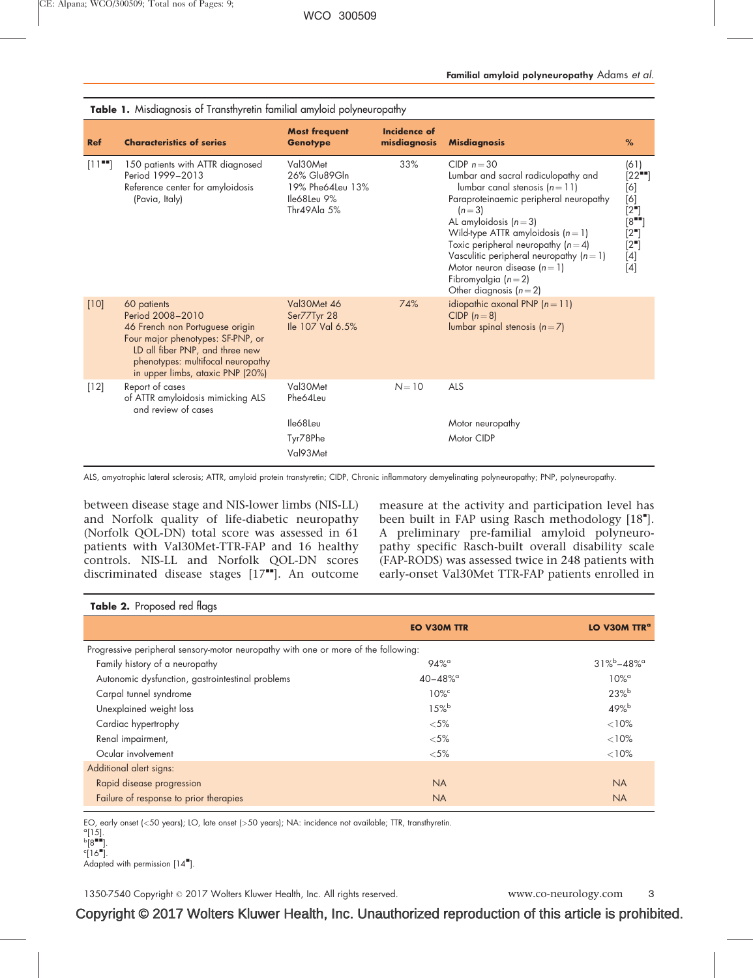| <b>Ref</b> | <b>Characteristics of series</b>                                                                                                                                                                                    | <b>Most frequent</b><br><b>Genotype</b>                                    | <b>Incidence of</b><br>misdiagnosis | <b>Misdiagnosis</b>                                                                                                                                                                                                                                                                                                                                                                     | $\%$                                                                                  |
|------------|---------------------------------------------------------------------------------------------------------------------------------------------------------------------------------------------------------------------|----------------------------------------------------------------------------|-------------------------------------|-----------------------------------------------------------------------------------------------------------------------------------------------------------------------------------------------------------------------------------------------------------------------------------------------------------------------------------------------------------------------------------------|---------------------------------------------------------------------------------------|
| $[11 -$    | 150 patients with ATTR diagnosed<br>Period 1999-2013<br>Reference center for amyloidosis<br>(Pavia, Italy)                                                                                                          | Val30Met<br>26% Glu89Gln<br>19% Phe64Leu 13%<br>lle68Leu 9%<br>Thr49Ala 5% | 33%                                 | CIDP $n = 30$<br>Lumbar and sacral radiculopathy and<br>lumbar canal stenosis $(n = 11)$<br>Paraproteinaemic peripheral neuropathy<br>$(n=3)$<br>AL amyloidosis $(n=3)$<br>Wild-type ATTR amyloidosis $(n = 1)$<br>Toxic peripheral neuropathy $(n=4)$<br>Vasculitic peripheral neuropathy $(n = 1)$<br>Motor neuron disease $(n=1)$<br>Fibromyalgia $(n=2)$<br>Other diagnosis $(n=2)$ | (61)<br>$[22$ $]$<br>[6]<br>[6]<br>[2"<br>$[8 - 1]$<br>[2"<br>[2"']<br>$[4]$<br>$[4]$ |
| $[10]$     | 60 patients<br>Period 2008-2010<br>46 French non Portuguese origin<br>Four major phenotypes: SF-PNP, or<br>LD all fiber PNP, and three new<br>phenotypes: multifocal neuropathy<br>in upper limbs, ataxic PNP (20%) | Val30Met 46<br>Ser77Tyr 28<br>lle 107 Val 6.5%                             | 74%                                 | idiopathic axonal PNP $(n=11)$<br>CIDP $(n=8)$<br>lumbar spinal stenosis $(n=7)$                                                                                                                                                                                                                                                                                                        |                                                                                       |
| $[12]$     | Report of cases<br>of ATTR amyloidosis mimicking ALS<br>and review of cases                                                                                                                                         | Val30Met<br>Phe64Leu<br>lle68Leu<br>Tyr78Phe                               | $N = 10$                            | ALS<br>Motor neuropathy<br>Motor CIDP                                                                                                                                                                                                                                                                                                                                                   |                                                                                       |
|            |                                                                                                                                                                                                                     | Val93Met                                                                   |                                     |                                                                                                                                                                                                                                                                                                                                                                                         |                                                                                       |

Table 1. Misdiagnosis of Transthyretin familial amyloid polyneuropathy

ALS, amyotrophic lateral sclerosis; ATTR, amyloid protein transtyretin; CIDP, Chronic inflammatory demyelinating polyneuropathy; PNP, polyneuropathy.

between disease stage and NIS-lower limbs (NIS-LL) and Norfolk quality of life-diabetic neuropathy (Norfolk QOL-DN) total score was assessed in 61 patients with Val30Met-TTR-FAP and 16 healthy controls. NIS-LL and Norfolk QOL-DN scores discriminated disease stages  $[17"']$  $[17"']$ . An outcome measure at the activity and participation level has been built in FAP using Rasch methodology [\[18](#page-7-0)"[\]](#page-7-0). A preliminary pre-familial amyloid polyneuropathy specific Rasch-built overall disability scale (FAP-RODS) was assessed twice in 248 patients with early-onset Val30Met TTR-FAP patients enrolled in

#### Table 2. Proposed red flags

|                                                                                    | <b>EO V30M TTR</b>       | LO V30M TTR <sup>a</sup> |  |  |  |  |  |
|------------------------------------------------------------------------------------|--------------------------|--------------------------|--|--|--|--|--|
| Progressive peripheral sensory-motor neuropathy with one or more of the following: |                          |                          |  |  |  |  |  |
| Family history of a neuropathy                                                     | $94%$ <sup>a</sup>       | $31\% - 48\%$            |  |  |  |  |  |
| Autonomic dysfunction, gastrointestinal problems                                   | $40 - 48\%$ <sup>a</sup> | $10\%$ <sup>a</sup>      |  |  |  |  |  |
| Carpal tunnel syndrome                                                             | $10\%$ <sup>c</sup>      | $23%^{b}$                |  |  |  |  |  |
| Unexplained weight loss                                                            | 15%                      | $49%^{b}$                |  |  |  |  |  |
| Cardiac hypertrophy                                                                | $<$ 5%                   | < 10%                    |  |  |  |  |  |
| Renal impairment,                                                                  | $<$ 5%                   | $<10\%$                  |  |  |  |  |  |
| Ocular involvement                                                                 | $<$ 5%                   | $<10\%$                  |  |  |  |  |  |
| Additional alert signs:                                                            |                          |                          |  |  |  |  |  |
| Rapid disease progression                                                          | <b>NA</b>                | <b>NA</b>                |  |  |  |  |  |
| Failure of response to prior therapies                                             | <b>NA</b>                | <b>NA</b>                |  |  |  |  |  |

EO, early onset (<50 years); LO, late onset (>50 years); NA: incidence not available; TTR, transthyretin.

1350-7540 Copyright © 2017 Wolters Kluwer Health, Inc. All rights reserved. www.co-neurology.com 3

<sup>°</sup>[\[15\].](#page-7-0)<br><sup>b</sup>[\[8](#page-7-0)<sup>≡∎</sup>[\].](#page-7-0)

 $\epsilon$ [\[16](#page-7-0) $\bar{\ }$ [\].](#page-7-0)

Adapted with permission  $[14^{\bullet}].$  $[14^{\bullet}].$  $[14^{\bullet}].$  $[14^{\bullet}].$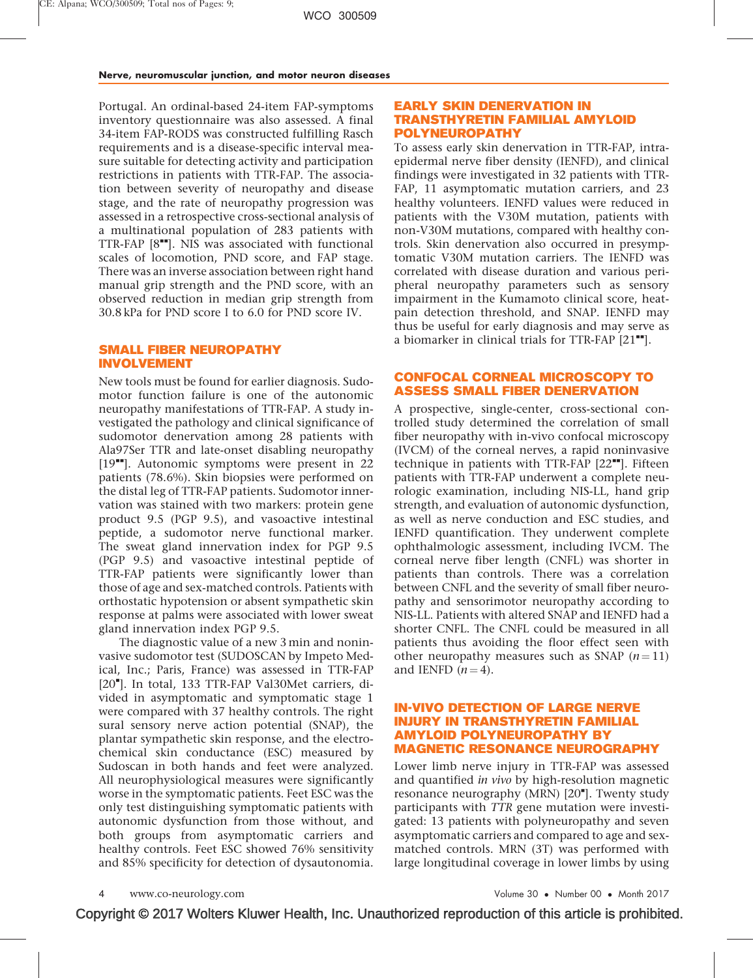Portugal. An ordinal-based 24-item FAP-symptoms inventory questionnaire was also assessed. A final 34-item FAP-RODS was constructed fulfilling Rasch requirements and is a disease-specific interval measure suitable for detecting activity and participation restrictions in patients with TTR-FAP. The association between severity of neuropathy and disease stage, and the rate of neuropathy progression was assessed in a retrospective cross-sectional analysis of a multinational population of 283 patients with TTR-FAP  $[8"']$  $[8"']$ . NIS was associated with functional scales of locomotion, PND score, and FAP stage. There was an inverse association between right hand manual grip strength and the PND score, with an observed reduction in median grip strength from 30.8 kPa for PND score I to 6.0 for PND score IV.

## SMALL FIBER NEUROPATHY INVOLVEMENT

New tools must be found for earlier diagnosis. Sudomotor function failure is one of the autonomic neuropathy manifestations of TTR-FAP. A study investigated the pathology and clinical significance of sudomotor denervation among 28 patients with Ala97Ser TTR and late-onset disabling neuropathy  $[19$ . Autonomic symptoms were present in 22 patients (78.6%). Skin biopsies were performed on the distal leg of TTR-FAP patients. Sudomotor innervation was stained with two markers: protein gene product 9.5 (PGP 9.5), and vasoactive intestinal peptide, a sudomotor nerve functional marker. The sweat gland innervation index for PGP 9.5 (PGP 9.5) and vasoactive intestinal peptide of TTR-FAP patients were significantly lower than those of age and sex-matched controls. Patients with orthostatic hypotension or absent sympathetic skin response at palms were associated with lower sweat gland innervation index PGP 9.5.

The diagnostic value of a new 3 min and noninvasive sudomotor test (SUDOSCAN by Impeto Medical, Inc.; Paris, France) was assessed in TTR-FAP [\[20](#page-8-0)"[\].](#page-8-0) In total, 133 TTR-FAP Val30Met carriers, divided in asymptomatic and symptomatic stage 1 were compared with 37 healthy controls. The right sural sensory nerve action potential (SNAP), the plantar sympathetic skin response, and the electrochemical skin conductance (ESC) measured by Sudoscan in both hands and feet were analyzed. All neurophysiological measures were significantly worse in the symptomatic patients. Feet ESC was the only test distinguishing symptomatic patients with autonomic dysfunction from those without, and both groups from asymptomatic carriers and healthy controls. Feet ESC showed 76% sensitivity and 85% specificity for detection of dysautonomia.

## EARLY SKIN DENERVATION IN TRANSTHYRETIN FAMILIAL AMYLOID POLYNEUROPATHY

To assess early skin denervation in TTR-FAP, intraepidermal nerve fiber density (IENFD), and clinical findings were investigated in 32 patients with TTR-FAP, 11 asymptomatic mutation carriers, and 23 healthy volunteers. IENFD values were reduced in patients with the V30M mutation, patients with non-V30M mutations, compared with healthy controls. Skin denervation also occurred in presymptomatic V30M mutation carriers. The IENFD was correlated with disease duration and various peripheral neuropathy parameters such as sensory impairment in the Kumamoto clinical score, heatpain detection threshold, and SNAP. IENFD may thus be useful for early diagnosis and may serve as a biomarker in clinical trials for TTR-FAP  $[21$ <sup> $H$ </sup>[\].](#page-8-0)

## CONFOCAL CORNEAL MICROSCOPY TO ASSESS SMALL FIBER DENERVATION

A prospective, single-center, cross-sectional controlled study determined the correlation of small fiber neuropathy with in-vivo confocal microscopy (IVCM) of the corneal nerves, a rapid noninvasive technique in patients with TTR-FAP  $[22$ <sup> $\blacksquare$ </sup>. Fifteen patients with TTR-FAP underwent a complete neurologic examination, including NIS-LL, hand grip strength, and evaluation of autonomic dysfunction, as well as nerve conduction and ESC studies, and IENFD quantification. They underwent complete ophthalmologic assessment, including IVCM. The corneal nerve fiber length (CNFL) was shorter in patients than controls. There was a correlation between CNFL and the severity of small fiber neuropathy and sensorimotor neuropathy according to NIS-LL. Patients with altered SNAP and IENFD had a shorter CNFL. The CNFL could be measured in all patients thus avoiding the floor effect seen with other neuropathy measures such as SNAP  $(n=11)$ and IENFD  $(n=4)$ .

#### IN-VIVO DETECTION OF LARGE NERVE INJURY IN TRANSTHYRETIN FAMILIAL AMYLOID POLYNEUROPATHY BY MAGNETIC RESONANCE NEUROGRAPHY

Lower limb nerve injury in TTR-FAP was assessed and quantified in vivo by high-resolution magnetic resonance neurography (MRN) [\[20](#page-8-0)"[\]](#page-8-0). Twenty study participants with TTR gene mutation were investigated: 13 patients with polyneuropathy and seven asymptomatic carriers and compared to age and sexmatched controls. MRN (3T) was performed with large longitudinal coverage in lower limbs by using

www.co-neurology.com

• Number 00 • Month 2017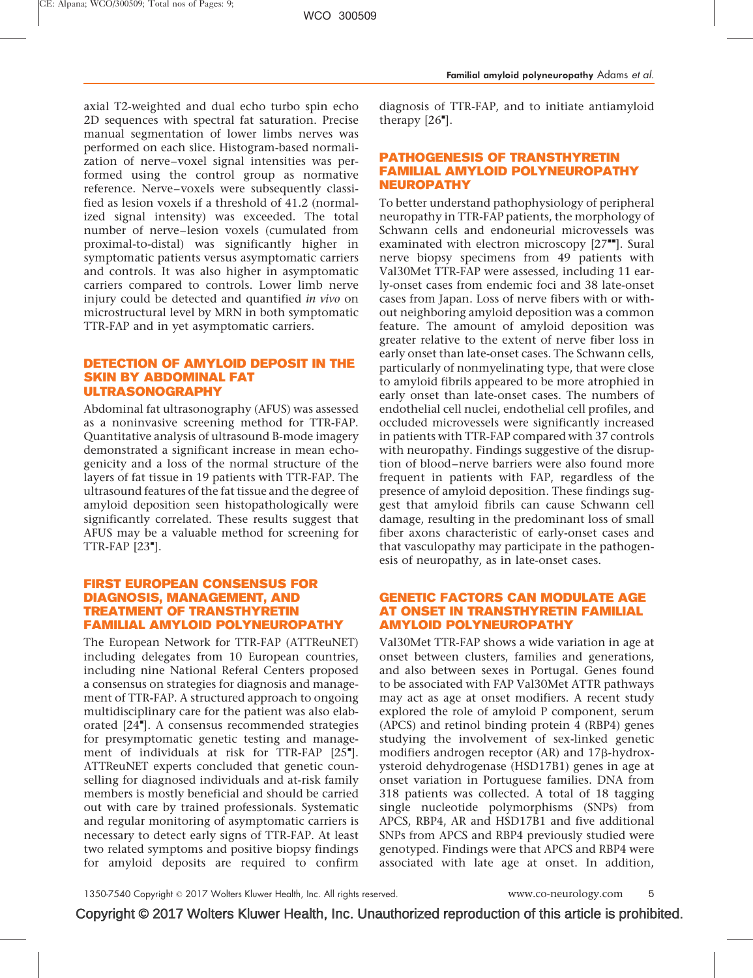axial T2-weighted and dual echo turbo spin echo 2D sequences with spectral fat saturation. Precise manual segmentation of lower limbs nerves was performed on each slice. Histogram-based normalization of nerve–voxel signal intensities was performed using the control group as normative reference. Nerve–voxels were subsequently classified as lesion voxels if a threshold of 41.2 (normalized signal intensity) was exceeded. The total number of nerve– lesion voxels (cumulated from proximal-to-distal) was significantly higher in symptomatic patients versus asymptomatic carriers and controls. It was also higher in asymptomatic carriers compared to controls. Lower limb nerve injury could be detected and quantified in vivo on microstructural level by MRN in both symptomatic TTR-FAP and in yet asymptomatic carriers.

## DETECTION OF AMYLOID DEPOSIT IN THE SKIN BY ABDOMINAL FAT ULTRASONOGRAPHY

Abdominal fat ultrasonography (AFUS) was assessed as a noninvasive screening method for TTR-FAP. Quantitative analysis of ultrasound B-mode imagery demonstrated a significant increase in mean echogenicity and a loss of the normal structure of the layers of fat tissue in 19 patients with TTR-FAP. The ultrasound features of the fat tissue and the degree of amyloid deposition seen histopathologically were significantly correlated. These results suggest that AFUS may be a valuable method for screening for  $TTR-FAP [23$  $TTR-FAP [23$ [\].](#page-8-0)

# FIRST EUROPEAN CONSENSUS FOR DIAGNOSIS, MANAGEMENT, AND TREATMENT OF TRANSTHYRETIN FAMILIAL AMYLOID POLYNEUROPATHY

The European Network for TTR-FAP (ATTReuNET) including delegates from 10 European countries, including nine National Referal Centers proposed a consensus on strategies for diagnosis and management of TTR-FAP. A structured approach to ongoing multidisciplinary care for the patient was also elab-orated [\[24](#page-8-0)"[\]](#page-8-0). A consensus recommended strategies for presymptomatic genetic testing and manage-ment of individuals at risk for TTR-FAP [\[25](#page-8-0)"[\]](#page-8-0). ATTReuNET experts concluded that genetic counselling for diagnosed individuals and at-risk family members is mostly beneficial and should be carried out with care by trained professionals. Systematic and regular monitoring of asymptomatic carriers is necessary to detect early signs of TTR-FAP. At least two related symptoms and positive biopsy findings for amyloid deposits are required to confirm

diagnosis of TTR-FAP, and to initiate antiamyloid therapy  $[26$ <sup> $\textdegree$ </sup>[\].](#page-8-0)

# PATHOGENESIS OF TRANSTHYRETIN FAMILIAL AMYLOID POLYNEUROPATHY NEUROPATHY

To better understand pathophysiology of peripheral neuropathy in TTR-FAP patients, the morphology of Schwann cells and endoneurial microvessels was examinated with electron microscopy  $[27"']$  $[27"']$ . Sural nerve biopsy specimens from 49 patients with Val30Met TTR-FAP were assessed, including 11 early-onset cases from endemic foci and 38 late-onset cases from Japan. Loss of nerve fibers with or without neighboring amyloid deposition was a common feature. The amount of amyloid deposition was greater relative to the extent of nerve fiber loss in early onset than late-onset cases. The Schwann cells, particularly of nonmyelinating type, that were close to amyloid fibrils appeared to be more atrophied in early onset than late-onset cases. The numbers of endothelial cell nuclei, endothelial cell profiles, and occluded microvessels were significantly increased in patients with TTR-FAP compared with 37 controls with neuropathy. Findings suggestive of the disruption of blood–nerve barriers were also found more frequent in patients with FAP, regardless of the presence of amyloid deposition. These findings suggest that amyloid fibrils can cause Schwann cell damage, resulting in the predominant loss of small fiber axons characteristic of early-onset cases and that vasculopathy may participate in the pathogenesis of neuropathy, as in late-onset cases.

# GENETIC FACTORS CAN MODULATE AGE AT ONSET IN TRANSTHYRETIN FAMILIAL AMYLOID POLYNEUROPATHY

Val30Met TTR-FAP shows a wide variation in age at onset between clusters, families and generations, and also between sexes in Portugal. Genes found to be associated with FAP Val30Met ATTR pathways may act as age at onset modifiers. A recent study explored the role of amyloid P component, serum (APCS) and retinol binding protein 4 (RBP4) genes studying the involvement of sex-linked genetic modifiers androgen receptor  $(AR)$  and  $17\beta$ -hydroxysteroid dehydrogenase (HSD17B1) genes in age at onset variation in Portuguese families. DNA from 318 patients was collected. A total of 18 tagging single nucleotide polymorphisms (SNPs) from APCS, RBP4, AR and HSD17B1 and five additional SNPs from APCS and RBP4 previously studied were genotyped. Findings were that APCS and RBP4 were associated with late age at onset. In addition,

1350-7540 Copyright © 2017 Wolters Kluwer Health, Inc. All rights reserved. www.co-neurology.com 5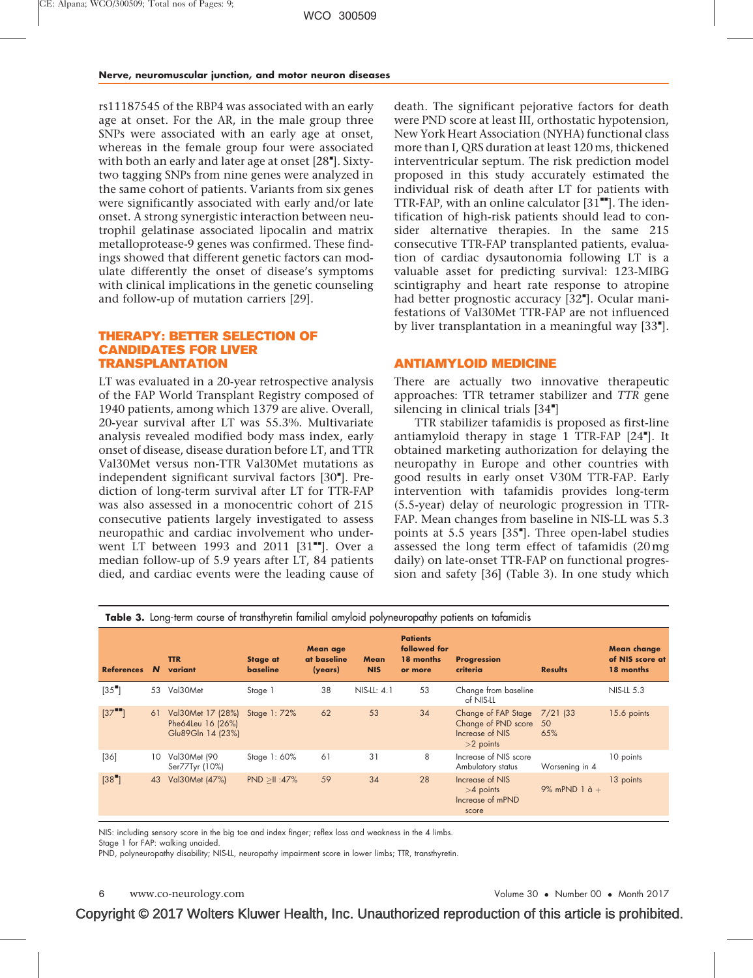rs11187545 of the RBP4 was associated with an early age at onset. For the AR, in the male group three SNPs were associated with an early age at onset, whereas in the female group four were associated with both an early and later age at onset [\[28](#page-8-0)"[\]](#page-8-0). Sixtytwo tagging SNPs from nine genes were analyzed in the same cohort of patients. Variants from six genes were significantly associated with early and/or late onset. A strong synergistic interaction between neutrophil gelatinase associated lipocalin and matrix metalloprotease-9 genes was confirmed. These findings showed that different genetic factors can modulate differently the onset of disease's symptoms with clinical implications in the genetic counseling and follow-up of mutation carriers [\[29\].](#page-8-0)

## THERAPY: BETTER SELECTION OF CANDIDATES FOR LIVER TRANSPLANTATION

LT was evaluated in a 20-year retrospective analysis of the FAP World Transplant Registry composed of 1940 patients, among which 1379 are alive. Overall, 20-year survival after LT was 55.3%. Multivariate analysis revealed modified body mass index, early onset of disease, disease duration before LT, and TTR Val30Met versus non-TTR Val30Met mutations as independent significant survival factors [\[30](#page-8-0)"[\].](#page-8-0) Prediction of long-term survival after LT for TTR-FAP was also assessed in a monocentric cohort of 215 consecutive patients largely investigated to assess neuropathic and cardiac involvement who underwent LT between 1993 and 2011  $[31$ <sup> $H$ </sup>[\].](#page-8-0) Over a median follow-up of 5.9 years after LT, 84 patients died, and cardiac events were the leading cause of

death. The significant pejorative factors for death were PND score at least III, orthostatic hypotension, New York Heart Association (NYHA) functional class more than I, QRS duration at least 120 ms, thickened interventricular septum. The risk prediction model proposed in this study accurately estimated the individual risk of death after LT for patients with TTR-FAP, with an online calculator  $[31$ <sup> $]$ </sup>. The identification of high-risk patients should lead to consider alternative therapies. In the same 215 consecutive TTR-FAP transplanted patients, evaluation of cardiac dysautonomia following LT is a valuable asset for predicting survival: 123-MIBG scintigraphy and heart rate response to atropine had better prognostic accuracy [\[32](#page-8-0)"[\]](#page-8-0). Ocular manifestations of Val30Met TTR-FAP are not influenced by liver transplantation in a meaningful way [\[33](#page-8-0)"[\]](#page-8-0).

#### ANTIAMYLOID MEDICINE

There are actually two innovative therapeutic approaches: TTR tetramer stabilizer and TTR gene silencing in clinical trials [\[34](#page-8-0)"[\]](#page-8-0)

TTR stabilizer tafamidis is proposed as first-line antiamyloid therapy in stage 1 TTR-FAP [\[24](#page-8-0)"[\].](#page-8-0) It obtained marketing authorization for delaying the neuropathy in Europe and other countries with good results in early onset V30M TTR-FAP. Early intervention with tafamidis provides long-term (5.5-year) delay of neurologic progression in TTR-FAP. Mean changes from baseline in NIS-LL was 5.3 points at 5.5 years [\[35](#page-8-0)"[\]](#page-8-0). Three open-label studies assessed the long term effect of tafamidis (20 mg daily) on late-onset TTR-FAP on functional progression and safety [\[36\]](#page-8-0) (Table 3). In one study which

| Table 3. Long-term course of transthyretin familial amyloid polyneuropathy patients on tafamidis |    |                                                             |                                    |                                    |                    |                                                         |                                                                              |                        |                                                    |
|--------------------------------------------------------------------------------------------------|----|-------------------------------------------------------------|------------------------------------|------------------------------------|--------------------|---------------------------------------------------------|------------------------------------------------------------------------------|------------------------|----------------------------------------------------|
| <b>References</b>                                                                                | N  | <b>TTR</b><br>variant                                       | <b>Stage at</b><br><b>baseline</b> | Mean age<br>at baseline<br>(years) | Mean<br><b>NIS</b> | <b>Patients</b><br>followed for<br>18 months<br>or more | <b>Progression</b><br>criteria                                               | <b>Results</b>         | <b>Mean change</b><br>of NIS score at<br>18 months |
| $[35$ <sup>"</sup> ]                                                                             | 53 | Val30Met                                                    | Stage 1                            | 38                                 | NIS-LL: 4.1        | 53                                                      | Change from baseline<br>of NIS-LL                                            |                        | <b>NIS-LL 5.3</b>                                  |
| $[37$ <sup>-1</sup> ]                                                                            | 61 | Val30Met 17 (28%)<br>Phe64Leu 16 (26%)<br>Glu89Gln 14 (23%) | Stage 1: 72%                       | 62                                 | 53                 | 34                                                      | Change of FAP Stage<br>Change of PND score<br>Increase of NIS<br>$>2$ points | 7/21 (33)<br>50<br>65% | 15.6 points                                        |
| $[36]$                                                                                           | 10 | Val30Met (90<br>Ser77Tyr (10%)                              | Stage 1: 60%                       | 61                                 | 31                 | 8                                                       | Increase of NIS score<br>Ambulatory status                                   | Worsening in 4         | 10 points                                          |
| [38]                                                                                             | 43 | Val30Met (47%)                                              | $PND > II : 47\%$                  | 59                                 | 34                 | 28                                                      | Increase of NIS<br>$>4$ points<br>Increase of mPND<br>score                  | 9% mPND $1 \dot{a}$ +  | 13 points                                          |

NIS: including sensory score in the big toe and index finger; reflex loss and weakness in the 4 limbs.

Stage 1 for FAP: walking unaided.

PND, polyneuropathy disability; NIS-LL, neuropathy impairment score in lower limbs; TTR, transthyretin.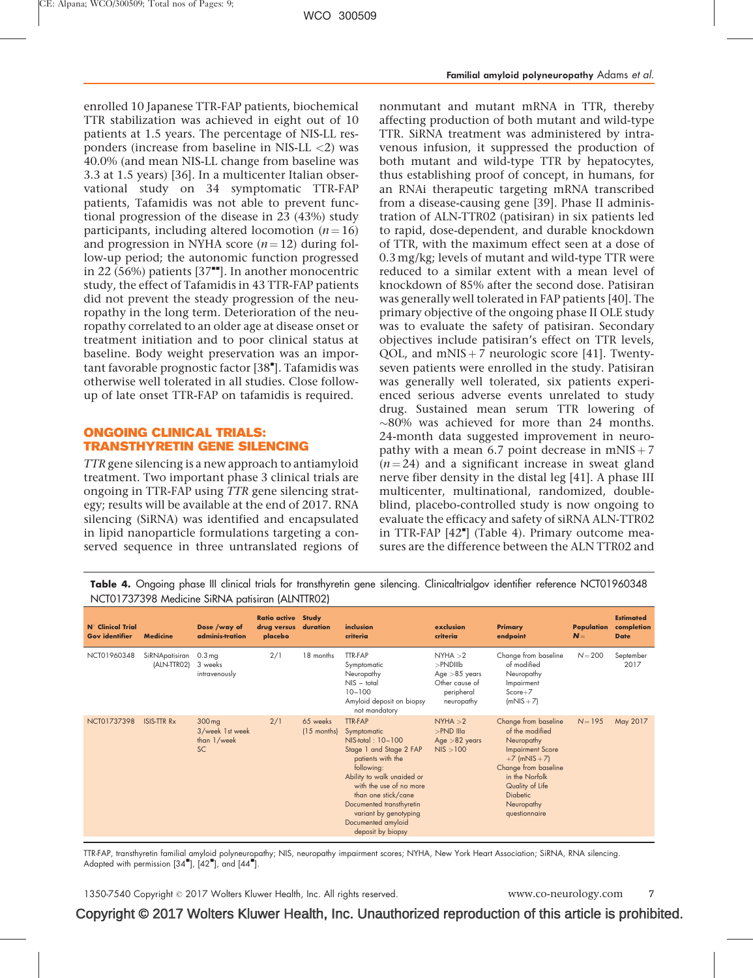enrolled 10 Japanese TTR-FAP patients, biochemical TTR stabilization was achieved in eight out of 10 patients at 1.5 years. The percentage of NIS-LL responders (increase from baseline in NIS-LL <2) was 40.0% (and mean NIS-LL change from baseline was 3.3 at 1.5 years) [\[36\].](#page-8-0) In a multicenter Italian observational study on 34 symptomatic TTR-FAP patients, Tafamidis was not able to prevent functional progression of the disease in 23 (43%) study participants, including altered locomotion  $(n = 16)$ and progression in NYHA score  $(n = 12)$  during follow-up period; the autonomic function progressed in 22 (56%) patients  $[37$ <sup> $\text{m}$ </sup>. In another monocentric study, the effect of Tafamidis in 43 TTR-FAP patients did not prevent the steady progression of the neuropathy in the long term. Deterioration of the neuropathy correlated to an older age at disease onset or treatment initiation and to poor clinical status at baseline. Body weight preservation was an impor-tant favorable prognostic factor [\[38](#page-8-0)"[\].](#page-8-0) Tafamidis was otherwise well tolerated in all studies. Close followup of late onset TTR-FAP on tafamidis is required.

# ONGOING CLINICAL TRIALS: TRANSTHYRETIN GENE SILENCING

TTR gene silencing is a new approach to antiamyloid treatment. Two important phase 3 clinical trials are ongoing in TTR-FAP using TTR gene silencing strategy; results will be available at the end of 2017. RNA silencing (SiRNA) was identified and encapsulated in lipid nanoparticle formulations targeting a conserved sequence in three untranslated regions of nonmutant and mutant mRNA in TTR, thereby affecting production of both mutant and wild-type TTR. SiRNA treatment was administered by intravenous infusion, it suppressed the production of both mutant and wild-type TTR by hepatocytes, thus establishing proof of concept, in humans, for an RNAi therapeutic targeting mRNA transcribed from a disease-causing gene [\[39\].](#page-8-0) Phase II administration of ALN-TTR02 (patisiran) in six patients led to rapid, dose-dependent, and durable knockdown of TTR, with the maximum effect seen at a dose of 0.3 mg/kg; levels of mutant and wild-type TTR were reduced to a similar extent with a mean level of knockdown of 85% after the second dose. Patisiran was generally well tolerated in FAP patients [\[40\].](#page-8-0) The primary objective of the ongoing phase II OLE study was to evaluate the safety of patisiran. Secondary objectives include patisiran's effect on TTR levels, QOL, and  $mNIS + 7$  neurologic score [\[41\]](#page-8-0). Twentyseven patients were enrolled in the study. Patisiran was generally well tolerated, six patients experienced serious adverse events unrelated to study drug. Sustained mean serum TTR lowering of  $\sim$ 80% was achieved for more than 24 months. 24-month data suggested improvement in neuropathy with a mean 6.7 point decrease in  $mNIS + 7$  $(n = 24)$  and a significant increase in sweat gland nerve fiber density in the distal leg [\[41\]](#page-8-0). A phase III multicenter, multinational, randomized, doubleblind, placebo-controlled study is now ongoing to evaluate the efficacy and safety of siRNA ALN-TTR02 in TTR-FAP [\[42](#page-8-0)"[\]](#page-8-0) (Table 4). Primary outcome measures are the difference between the ALN TTR02 and

Table 4. Ongoing phase III clinical trials for transthyretin gene silencing. Clinicaltrialgov identifier reference NCT01960348 NCT01737398 Medicine SiRNA patisiran (ALNTTR02)

| N° Clinical Trial<br><b>Gov identifier</b> | <b>Medicine</b>               | Dose /way of<br>adminis-tration                       | <b>Ratio active Study</b><br>drug versus<br>placebo | duration                  | inclusion<br>criteria                                                                                                                                                                                                                                                                            | exclusion<br>criteria                                                                    | <b>Primary</b><br>endpoint                                                                                                                                                                                         | <b>Population</b><br>$N =$ | <b>Estimated</b><br>completion<br><b>Date</b> |
|--------------------------------------------|-------------------------------|-------------------------------------------------------|-----------------------------------------------------|---------------------------|--------------------------------------------------------------------------------------------------------------------------------------------------------------------------------------------------------------------------------------------------------------------------------------------------|------------------------------------------------------------------------------------------|--------------------------------------------------------------------------------------------------------------------------------------------------------------------------------------------------------------------|----------------------------|-----------------------------------------------|
| NCT01960348                                | SiRNApatisiran<br>(ALN-TTRO2) | 0.3 <sub>mg</sub><br>3 weeks<br>intravenously         | 2/1                                                 | 18 months                 | <b>TTR-FAP</b><br>Symptomatic<br>Neuropathy<br>$NIS - total$<br>$10 - 100$<br>Amyloid deposit on biopsy<br>not mandatory                                                                                                                                                                         | NYHA > 2<br>$>$ PNDIIIb<br>Age $>85$ years<br>Other cause of<br>peripheral<br>neuropathy | Change from baseline<br>of modified<br>Neuropathy<br>Impairment<br>$Score+7$<br>$(mNIS + 7)$                                                                                                                       | $N = 200$                  | September<br>2017                             |
| NCT01737398                                | <b>ISIS-TTR Rx</b>            | 300 mg<br>3/week 1st week<br>than 1/week<br><b>SC</b> | 2/1                                                 | 65 weeks<br>$(15$ months) | <b>TTR-FAP</b><br>Symptomatic<br>NIS-total: 10-100<br>Stage 1 and Stage 2 FAP<br>patients with the<br>following:<br>Ability to walk unaided or<br>with the use of no more<br>than one stick/cane<br>Documented transthyretin<br>variant by genotyping<br>Documented amyloid<br>deposit by biopsy | NYHA > 2<br>$>$ PND IIIa<br>Age $>82$ years<br>NIS > 100                                 | Change from baseline<br>of the modified<br>Neuropathy<br><b>Impairment Score</b><br>$+7$ (mNIS + 7)<br>Change from baseline<br>in the Norfolk<br>Quality of Life<br><b>Diabetic</b><br>Neuropathy<br>questionnaire | $N = 195$                  | May 2017                                      |

TTR-FAP, transthyretin familial amyloid polyneuropathy; NIS, neuropathy impairment scores; NYHA, New York Heart Association; SiRNA, RNA silencing. Adapted with permission  $[34^{\bullet}]$  $[34^{\bullet}]$  $[34^{\bullet}]$ ,  $[42^{\bullet}]$  $[42^{\bullet}]$ , and  $[44^{\bullet}]$  $[44^{\bullet}]$ .

1350-7540 Copyright © 2017 Wolters Kluwer Health, Inc. All rights reserved. www.co-neurology.com 7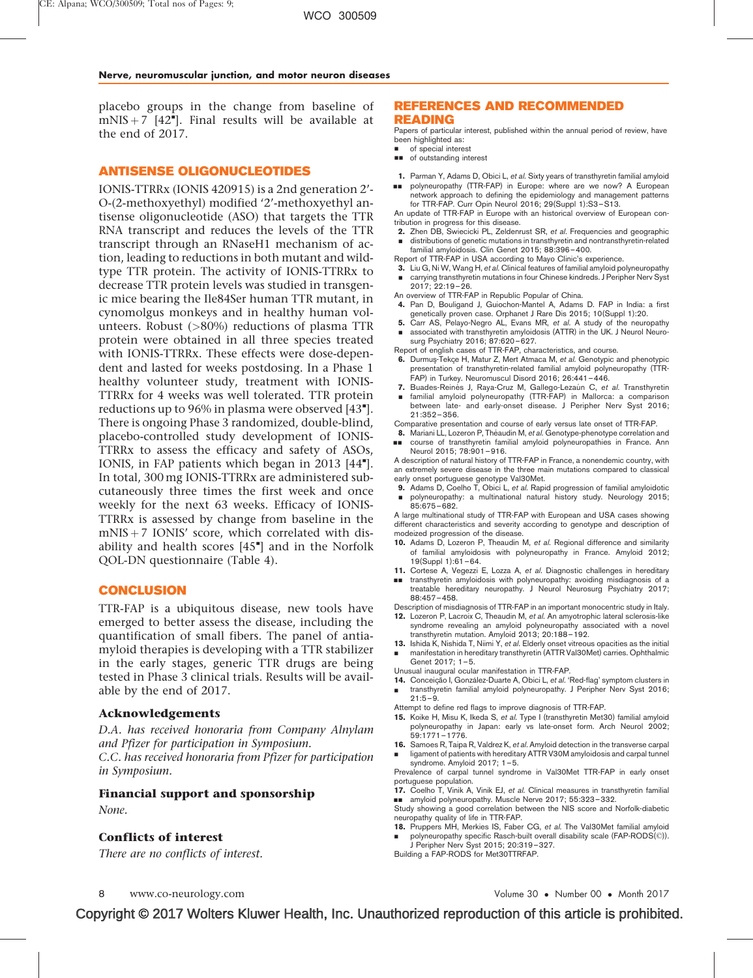<span id="page-7-0"></span>placebo groups in the change from baseline of  $mNIS + 7$  [\[42](#page-8-0)"[\].](#page-8-0) Final results will be available at the end of 2017.

#### ANTISENSE OLIGONUCLEOTIDES

IONIS-TTRRx (IONIS 420915) is a 2nd generation 2'- O-(2-methoxyethyl) modified '2'-methoxyethyl antisense oligonucleotide (ASO) that targets the TTR RNA transcript and reduces the levels of the TTR transcript through an RNaseH1 mechanism of action, leading to reductions in both mutant and wildtype TTR protein. The activity of IONIS-TTRRx to decrease TTR protein levels was studied in transgenic mice bearing the Ile84Ser human TTR mutant, in cynomolgus monkeys and in healthy human volunteers. Robust  $($ >80%) reductions of plasma TTR protein were obtained in all three species treated with IONIS-TTRRx. These effects were dose-dependent and lasted for weeks postdosing. In a Phase 1 healthy volunteer study, treatment with IONIS-TTRRx for 4 weeks was well tolerated. TTR protein reductions up to 96% in plasma were observed [\[43](#page-8-0)"[\].](#page-8-0) There is ongoing Phase 3 randomized, double-blind, placebo-controlled study development of IONIS-TTRRx to assess the efficacy and safety of ASOs, IONIS, in FAP patients which began in 2013 [\[44](#page-8-0)"[\].](#page-8-0) In total, 300 mg IONIS-TTRRx are administered subcutaneously three times the first week and once weekly for the next 63 weeks. Efficacy of IONIS-TTRRx is assessed by change from baseline in the  $mNIS + 7$  IONIS' score, which correlated with dis-ability and health scores [\[45](#page-8-0)<sup>\*</sup>[\]](#page-8-0) and in the Norfolk QOL-DN questionnaire (Table 4).

#### **CONCLUSION**

TTR-FAP is a ubiquitous disease, new tools have emerged to better assess the disease, including the quantification of small fibers. The panel of antiamyloid therapies is developing with a TTR stabilizer in the early stages, generic TTR drugs are being tested in Phase 3 clinical trials. Results will be available by the end of 2017.

#### Acknowledgements

D.A. has received honoraria from Company Alnylam and Pfizer for participation in Symposium. C.C. has received honoraria from Pfizer for participation in Symposium.

# Financial support and sponsorship

None.

#### Conflicts of interest

There are no conflicts of interest.

#### REFERENCES AND RECOMMENDED READING

Papers of particular interest, published within the annual period of review, have been highlighted as:

- of special interest
- $\Box$  of outstanding interest
- 1. Parman Y, Adams D, Obici L, et al. Sixty years of transthyretin familial amyloid && polyneuropathy (TTR-FAP) in Europe: where are we now? A European
- network approach to defining the epidemiology and management patterns for TTR-FAP. Curr Opin Neurol 2016; 29(Suppl 1):S3–S13.

An update of TTR-FAP in Europe with an historical overview of European contribution in progress for this disease.

- 2. Zhen DB, Swiecicki PL, Zeldenrust SR, et al. Frequencies and geographic & distributions of genetic mutations in transthyretin and nontransthyretin-related familial amyloidosis. Clin Genet 2015; 88:396–400.
- Report of TTR-FAP in USA according to Mayo Clinic's experience.
- 3. Liu G, Ni W, Wang H, et al. Clinical features of familial amyloid polyneuropathy & carrying transthyretin mutations in four Chinese kindreds. J Peripher Nerv Syst 2017; 22:19–26.
- An overview of TTR-FAP in Republic Popular of China.
- 4. Pan D, Bouligand J, Guiochon-Mantel A, Adams D. FAP in India: a first genetically proven case. Orphanet J Rare Dis 2015; 10(Suppl 1):20.
- 5. Carr AS, Pelayo-Negro AL, Evans MR, et al. A study of the neuropathy & associated with transthyretin amyloidosis (ATTR) in the UK. J Neurol Neuro-
- surg Psychiatry 2016; 87:620–627.
- Report of english cases of TTR-FAP, characteristics, and course.
- 6. Durmus-Tekçe H, Matur Z, Mert Atmaca M, et al. Genotypic and phenotypic presentation of transthyretin-related familial amyloid polyneuropathy (TTR-FAP) in Turkey. Neuromuscul Disord 2016; 26:441–446.
- 7. Buades-Reinés J, Raya-Cruz M, Gallego-Lezaún C, et al. Transthyretin & familial amyloid polyneuropathy (TTR-FAP) in Mallorca: a comparison between late- and early-onset disease. J Peripher Nerv Syst 2016; 21:352–356.
- Comparative presentation and course of early versus late onset of TTR-FAP.
- 8. Mariani LL, Lozeron P, Théaudin M, et al. Genotype-phenotype correlation and
- && course of transthyretin familial amyloid polyneuropathies in France. Ann Neurol 2015; 78:901–916.

A description of natural history of TTR-FAP in France, a nonendemic country, with an extremely severe disease in the three main mutations compared to classical early onset portuguese genotype Val30Met.

9. Adams D, Coelho T, Obici L, et al. Rapid progression of familial amyloidotic & polyneuropathy: a multinational natural history study. Neurology 2015; 85:675–682.

A large multinational study of TTR-FAP with European and USA cases showing different characteristics and severity according to genotype and description of modeized progression of the disease.

- 10. Adams D, Lozeron P, Theaudin M, et al. Regional difference and similarity of familial amyloidosis with polyneuropathy in France. Amyloid 2012; 19(Suppl 1):61–64.
- 11. Cortese A, Vegezzi E, Lozza A, et al. Diagnostic challenges in hereditary
- **Example 18 amorger** transthyretin amyloidosis with polyneuropathy: avoiding misdiagnosis of a treatable hereditary neuropathy. J Neurol Neurosurg Psychiatry 2017; 88:457–458.

Description of misdiagnosis of TTR-FAP in an important monocentric study in Italy. 12. Lozeron P, Lacroix C, Theaudin M, et al. An amyotrophic lateral sclerosis-like

- syndrome revealing an amyloid polyneuropathy associated with a novel transthyretin mutation. Amyloid 2013; 20:188–192.
- 13. Ishida K, Nishida T, Niimi Y, et al. Elderly onset vitreous opacities as the initial & manifestation in hereditary transthyretin (ATTR Val30Met) carries. Ophthalmic Genet 2017; 1–5.
- Unusual inaugural ocular manifestation in TTR-FAP.
- 14. Conceição I, González-Duarte A, Obici L, et al. 'Red-flag' symptom clusters in
- & transthyretin familial amyloid polyneuropathy. J Peripher Nerv Syst 2016;  $21:5-9.$
- Attempt to define red flags to improve diagnosis of TTR-FAP.
- 15. Koike H, Misu K, Ikeda S, et al. Type I (transthyretin Met30) familial amyloid polyneuropathy in Japan: early vs late-onset form. Arch Neurol 2002; 59:1771–1776.
- 16. Samoes R, Taipa R, Valdrez K, et al. Amyloid detection in the transverse carpal & ligament of patients with hereditary ATTR V30M amyloidosis and carpal tunnel syndrome. Amyloid 2017; 1–5.

Prevalence of carpal tunnel syndrome in Val30Met TTR-FAP in early onset portuguese population.

17. Coelho T, Vinik A, Vinik EJ, et al. Clinical measures in transthyretin familial ■■ amyloid polyneuropathy. Muscle Nerve 2017; 55:323-332.

Study showing a good correlation between the NIS score and Norfolk-diabetic neuropathy quality of life in TTR-FAP.

18. Pruppers MH, Merkies IS, Faber CG, et al. The Val30Met familial amyloid & polyneuropathy specific Rasch-built overall disability scale (FAP-RODS(©)).

J Peripher Nerv Syst 2015; 20:319–327.

Building a FAP-RODS for Met30TTRFAP.

www.co-neurology.com

• Number 00 • Month 2017